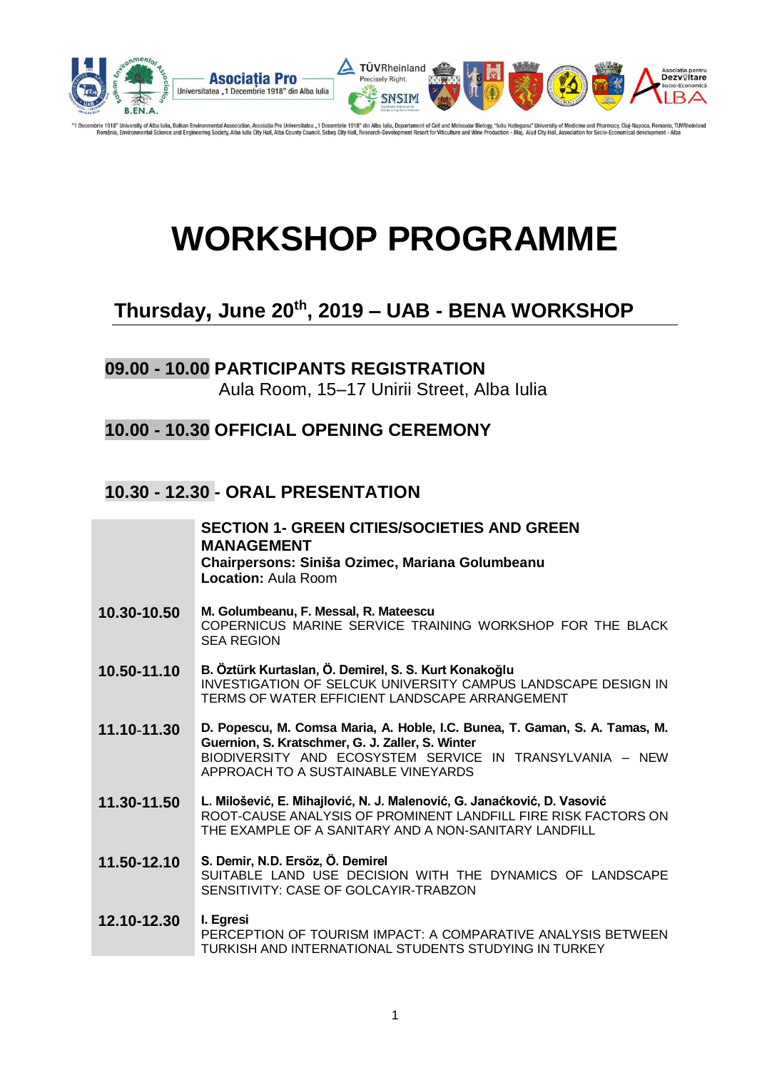

embrie 1918" University of Alba Iulia, Balkan Environmental Association, Asociatia Pro Universitatea "1 Decembrie 1918" din Alba Iulia, Departament of Cell and Molecular Biology, "Iuliu Hatjeganu" University of Medicine an

# **WORKSHOP PROGRAMME**

### **Thursday, June 20th , 2019 – UAB - BENA WORKSHOP**

### **09.00 - 10.00 PARTICIPANTS REGISTRATION**  Aula Room, 15–17 Unirii Street, Alba Iulia

### **10.00 - 10.30 OFFICIAL OPENING CEREMONY**

### **10.30 - 12.30 - ORAL PRESENTATION**

|             | <b>SECTION 1- GREEN CITIES/SOCIETIES AND GREEN</b><br><b>MANAGEMENT</b><br>Chairpersons: Siniša Ozimec, Mariana Golumbeanu<br><b>Location: Aula Room</b>                                                                           |
|-------------|------------------------------------------------------------------------------------------------------------------------------------------------------------------------------------------------------------------------------------|
| 10.30-10.50 | M. Golumbeanu, F. Messal, R. Mateescu<br>COPERNICUS MARINE SERVICE TRAINING WORKSHOP FOR THE BLACK<br><b>SEA REGION</b>                                                                                                            |
| 10.50-11.10 | B. Öztürk Kurtaslan, Ö. Demirel, S. S. Kurt Konakoğlu<br>INVESTIGATION OF SELCUK UNIVERSITY CAMPUS LANDSCAPE DESIGN IN<br>TERMS OF WATER EFFICIENT LANDSCAPE ARRANGEMENT                                                           |
| 11.10-11.30 | D. Popescu, M. Comsa Maria, A. Hoble, I.C. Bunea, T. Gaman, S. A. Tamas, M.<br>Guernion, S. Kratschmer, G. J. Zaller, S. Winter<br>BIODIVERSITY AND ECOSYSTEM SERVICE IN TRANSYLVANIA - NEW<br>APPROACH TO A SUSTAINABLE VINEYARDS |
| 11.30-11.50 | L. Milošević, E. Mihajlović, N. J. Malenović, G. Janaćković, D. Vasović<br>ROOT-CAUSE ANALYSIS OF PROMINENT LANDFILL FIRE RISK FACTORS ON<br>THE EXAMPLE OF A SANITARY AND A NON-SANITARY LANDFILL                                 |
| 11.50-12.10 | S. Demir, N.D. Ersöz, Ö. Demirel<br>SUITABLE LAND USE DECISION WITH THE DYNAMICS OF LANDSCAPE<br>SENSITIVITY: CASE OF GOLCAYIR-TRABZON                                                                                             |
| 12.10-12.30 | I. Egresi<br>PERCEPTION OF TOURISM IMPACT: A COMPARATIVE ANALYSIS BETWEEN<br>TURKISH AND INTERNATIONAL STUDENTS STUDYING IN TURKEY                                                                                                 |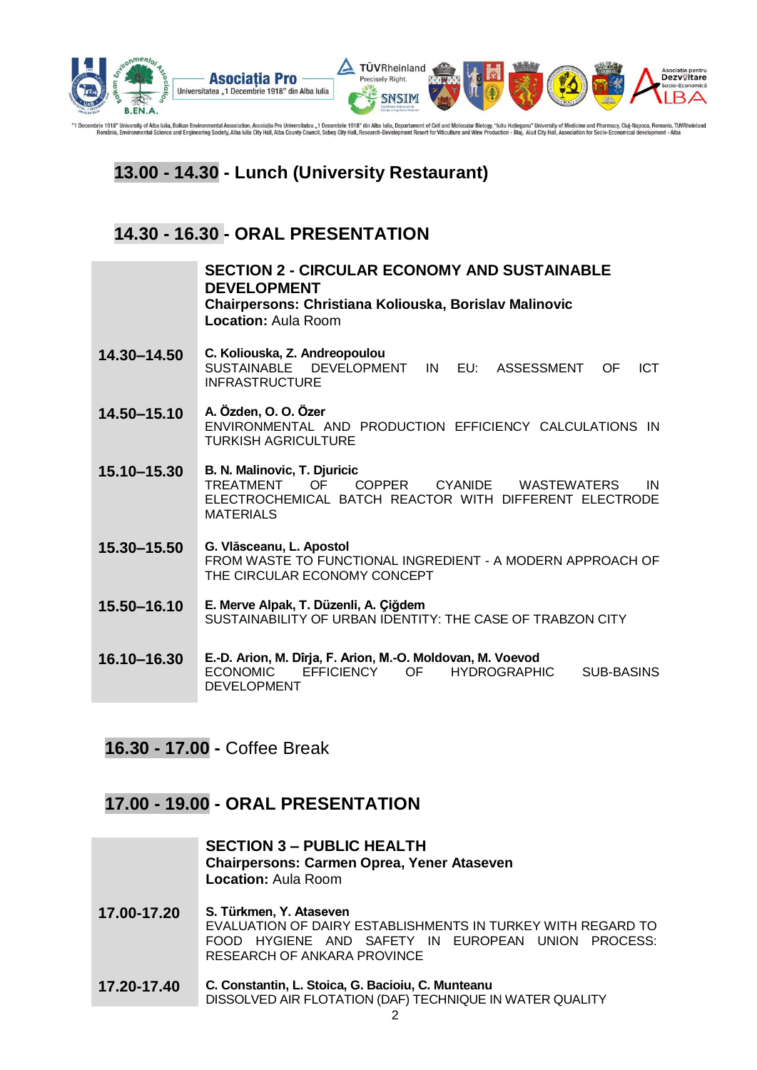

"1 Decembrie 1918" University of Alba lulia, Balkan Environmental Association, Asociatia Pro Universitatea "1 Decembrie 1918" din Alba lulia, Departament of Cell and Molecular Biology, "Iuliu Hatleganu" University of Medic

### **13.00 - 14.30 - Lunch (University Restaurant)**

### **14.30 - 16.30 - ORAL PRESENTATION**

|             | <b>SECTION 2 - CIRCULAR ECONOMY AND SUSTAINABLE</b><br><b>DEVELOPMENT</b><br>Chairpersons: Christiana Koliouska, Borislav Malinovic<br><b>Location: Aula Room</b>                   |
|-------------|-------------------------------------------------------------------------------------------------------------------------------------------------------------------------------------|
| 14.30-14.50 | C. Koliouska, Z. Andreopoulou<br>SUSTAINABLE DEVELOPMENT<br>EU:<br><b>ASSESSMENT</b><br><b>ICT</b><br>IN<br>OF<br><b>INFRASTRUCTURE</b>                                             |
| 14.50-15.10 | A. Özden, O. O. Özer<br>ENVIRONMENTAL AND PRODUCTION EFFICIENCY CALCULATIONS IN<br><b>TURKISH AGRICULTURE</b>                                                                       |
| 15.10-15.30 | B. N. Malinovic, T. Djuricic<br><b>TREATMENT</b><br>OF.<br>COPPER CYANIDE<br><b>WASTEWATERS</b><br>IN<br>ELECTROCHEMICAL BATCH REACTOR WITH DIFFERENT ELECTRODE<br><b>MATERIALS</b> |
| 15.30-15.50 | G. Vlăsceanu, L. Apostol<br>FROM WASTE TO FUNCTIONAL INGREDIENT - A MODERN APPROACH OF<br>THE CIRCULAR ECONOMY CONCEPT                                                              |
| 15.50-16.10 | E. Merve Alpak, T. Düzenli, A. Çiğdem<br>SUSTAINABILITY OF URBAN IDENTITY: THE CASE OF TRABZON CITY                                                                                 |
| 16.10-16.30 | E.-D. Arion, M. Dîrja, F. Arion, M.-O. Moldovan, M. Voevod<br><b>ECONOMIC</b><br><b>EFFICIENCY</b><br>OF<br><b>HYDROGRAPHIC</b><br><b>SUB-BASINS</b><br><b>DEVELOPMENT</b>          |

**16.30 - 17.00 -** Coffee Break

### **17.00 - 19.00 - ORAL PRESENTATION**

|             | <b>SECTION 3 - PUBLIC HEALTH</b><br><b>Chairpersons: Carmen Oprea, Yener Ataseven</b><br><b>Location: Aula Room</b>                                                         |
|-------------|-----------------------------------------------------------------------------------------------------------------------------------------------------------------------------|
| 17.00-17.20 | S. Türkmen, Y. Ataseven<br>EVALUATION OF DAIRY ESTABLISHMENTS IN TURKEY WITH REGARD TO<br>FOOD HYGIENE AND SAFETY IN EUROPEAN UNION PROCESS:<br>RESEARCH OF ANKARA PROVINCE |
| 17.20-17.40 | C. Constantin, L. Stoica, G. Bacioiu, C. Munteanu<br>DISSOLVED AIR FLOTATION (DAF) TECHNIQUE IN WATER QUALITY                                                               |
|             |                                                                                                                                                                             |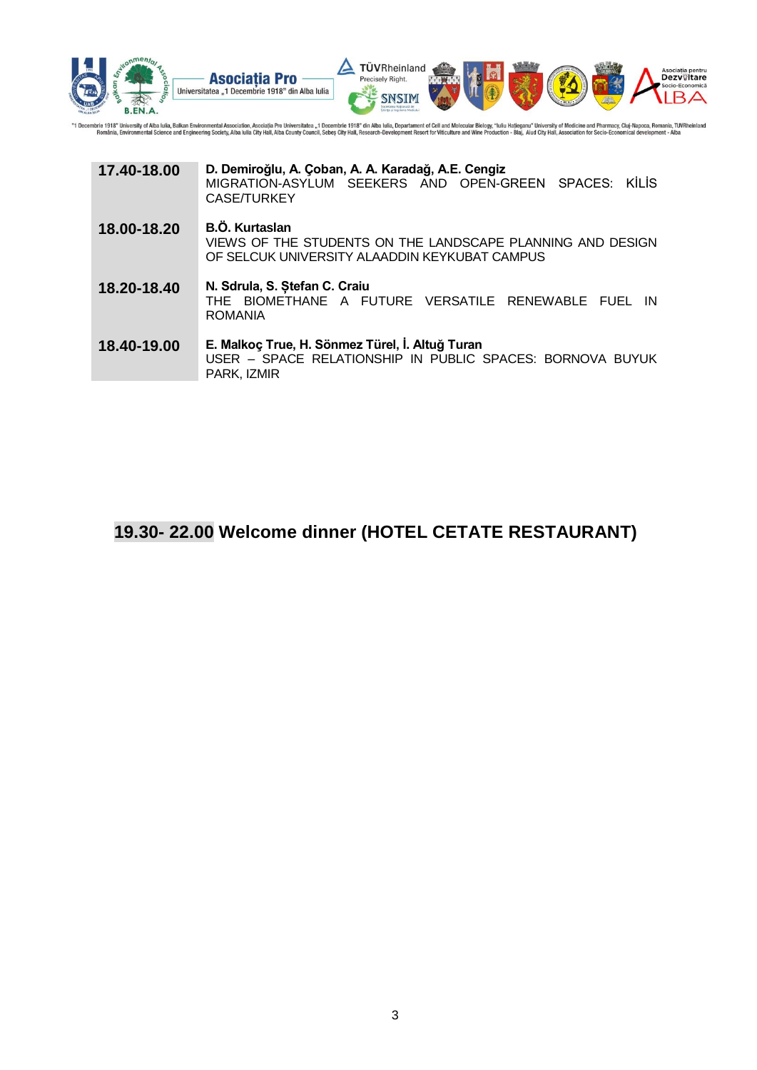

"1 Decembrie 1918" University of Alba Iulia, Balkan Environmental Association, Asociatia Pro Universitatea "1 Decembrie 1918" din Alba Iulia, Departament of Cell and Molecular Biology, "Iuliu Hatleganu" University of Medic

| 17.40-18.00 | D. Demiroğlu, A. Çoban, A. A. Karadağ, A.E. Cengiz<br>MIGRATION-ASYLUM SEEKERS AND OPEN-GREEN SPACES: KİLİS<br>CASE/TURKEY           |
|-------------|--------------------------------------------------------------------------------------------------------------------------------------|
| 18.00-18.20 | <b>B.Ö. Kurtaslan</b><br>VIEWS OF THE STUDENTS ON THE LANDSCAPE PLANNING AND DESIGN<br>OF SELCUK UNIVERSITY ALAADDIN KEYKUBAT CAMPUS |
| 18.20-18.40 | N. Sdrula, S. Ștefan C. Craiu<br>THE BIOMETHANE A FUTURE VERSATILE RENEWABLE FUEL IN<br><b>ROMANIA</b>                               |
| 18.40-19.00 | E. Malkoç True, H. Sönmez Türel, İ. Altuğ Turan<br>USER - SPACE RELATIONSHIP IN PUBLIC SPACES: BORNOVA BUYUK<br>PARK, IZMIR          |

### **19.30- 22.00 Welcome dinner (HOTEL CETATE RESTAURANT)**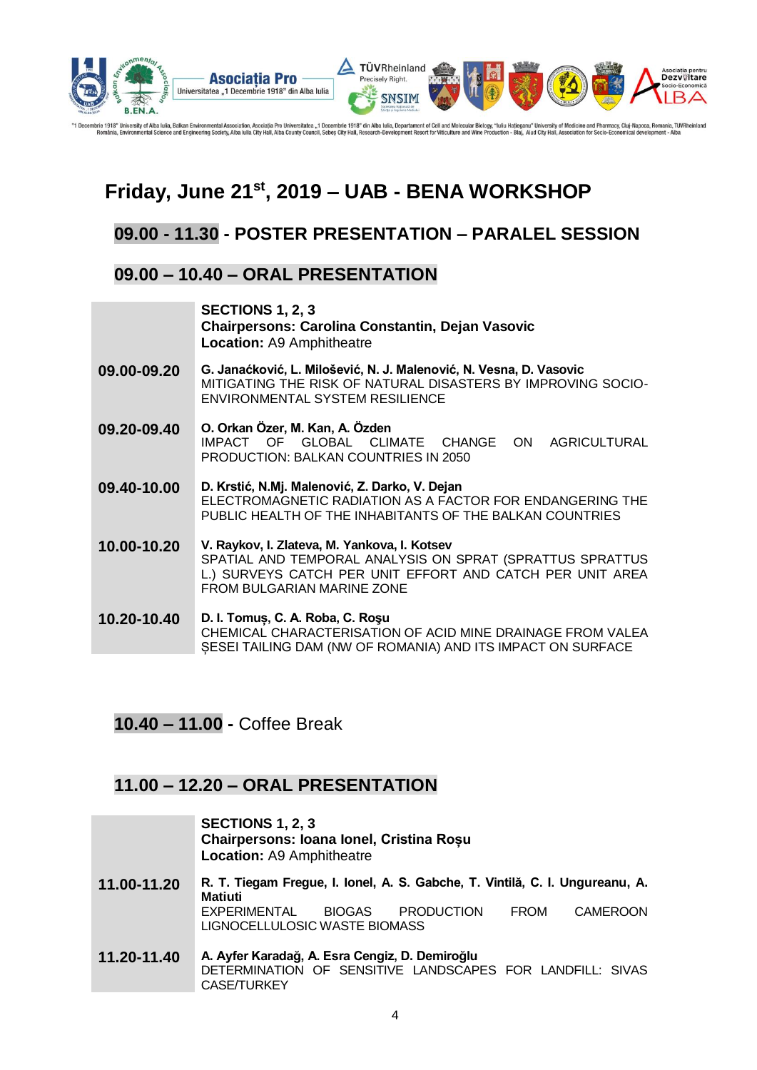

mbrie 1918" Ur brie 1918" University of Alba Iulia, Balkan Environmental Association, Asociatia Pro Universitatea "1 Decembrie 1918" din Alba Iulia, Departament of Cell and Molecular Biology, "Iuliu Hatieganu" University of Medicine and

### **Friday, June 21st, 2019 – UAB - BENA WORKSHOP**

### **09.00 - 11.30 - POSTER PRESENTATION – PARALEL SESSION**

### **09.00 – 10.40 – ORAL PRESENTATION**

|             | SECTIONS 1, 2, 3<br><b>Chairpersons: Carolina Constantin, Dejan Vasovic</b><br><b>Location: A9 Amphitheatre</b>                                                                                      |
|-------------|------------------------------------------------------------------------------------------------------------------------------------------------------------------------------------------------------|
| 09.00-09.20 | G. Janaćković, L. Milošević, N. J. Malenović, N. Vesna, D. Vasovic<br>MITIGATING THE RISK OF NATURAL DISASTERS BY IMPROVING SOCIO-<br>ENVIRONMENTAL SYSTEM RESILIENCE                                |
| 09.20-09.40 | O. Orkan Özer, M. Kan, A. Özden<br>IMPACT OF GLOBAL CLIMATE CHANGE<br><b>AGRICULTURAL</b><br>ON<br><b>PRODUCTION: BALKAN COUNTRIES IN 2050</b>                                                       |
| 09.40-10.00 | D. Krstić, N.Mj. Malenović, Z. Darko, V. Dejan<br>ELECTROMAGNETIC RADIATION AS A FACTOR FOR ENDANGERING THE<br>PUBLIC HEALTH OF THE INHABITANTS OF THE BALKAN COUNTRIES                              |
| 10.00-10.20 | V. Raykov, I. Zlateva, M. Yankova, I. Kotsev<br>SPATIAL AND TEMPORAL ANALYSIS ON SPRAT (SPRATTUS SPRATTUS<br>L.) SURVEYS CATCH PER UNIT EFFORT AND CATCH PER UNIT AREA<br>FROM BULGARIAN MARINE ZONE |
| 10.20-10.40 | D. I. Tomuș, C. A. Roba, C. Roșu<br>CHEMICAL CHARACTERISATION OF ACID MINE DRAINAGE FROM VALEA<br>SESEI TAILING DAM (NW OF ROMANIA) AND ITS IMPACT ON SURFACE                                        |

### **10.40 – 11.00 -** Coffee Break

### **11.00 – 12.20 – ORAL PRESENTATION**

|             | SECTIONS 1, 2, 3<br>Chairpersons: Ioana Ionel, Cristina Roșu<br><b>Location: A9 Amphitheatre</b>                           |
|-------------|----------------------------------------------------------------------------------------------------------------------------|
| 11.00-11.20 | R. T. Tiegam Fregue, I. Ionel, A. S. Gabche, T. Vintilă, C. I. Ungureanu, A.<br><b>Matiuti</b>                             |
|             | EXPERIMENTAL<br><b>PRODUCTION</b><br><b>CAMEROON</b><br>BIOGAS<br><b>FROM</b><br>LIGNOCELLULOSIC WASTE BIOMASS             |
| 11.20-11.40 | A. Ayfer Karadağ, A. Esra Cengiz, D. Demiroğlu<br>DETERMINATION OF SENSITIVE LANDSCAPES FOR LANDFILL: SIVAS<br>CASE/TURKEY |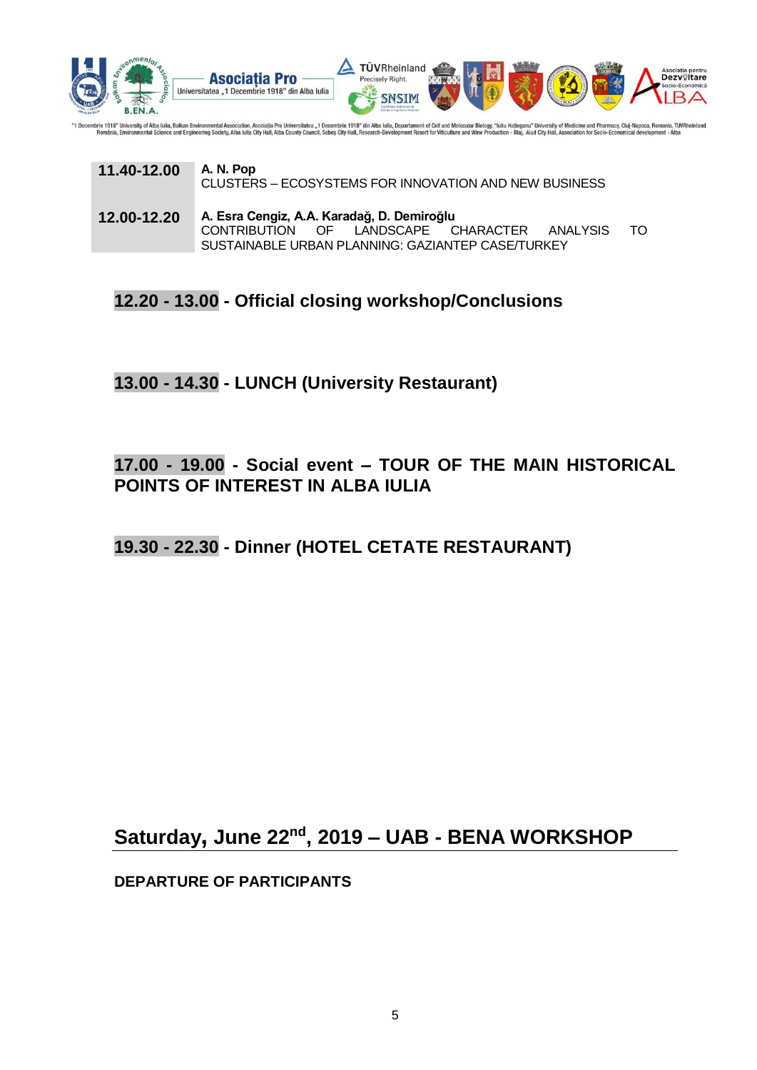

nbrie 1918" Ur ie 1918" University of Alba lulia, Balkan Environmental Association, Asociation, Osociatia Pro Universitatea "1 Decembrie 1918" din Alba Iulia, Departament of Cell and Molecular Biology, "Iuliu Hatieganu" University of Med

| 11.40-12.00 | A. N. Pop<br>CLUSTERS – ECOSYSTEMS FOR INNOVATION AND NEW BUSINESS                                                                              |     |
|-------------|-------------------------------------------------------------------------------------------------------------------------------------------------|-----|
| 12.00-12.20 | A. Esra Cengiz, A.A. Karadağ, D. Demiroğlu<br>CONTRIBUTION OF LANDSCAPE CHARACTER ANALYSIS<br>SUSTAINABLE URBAN PLANNING: GAZIANTEP CASE/TURKEY | TO. |

**12.20 - 13.00 - Official closing workshop/Conclusions**

**13.00 - 14.30 - LUNCH (University Restaurant)**

### **17.00 - 19.00 - Social event – TOUR OF THE MAIN HISTORICAL POINTS OF INTEREST IN ALBA IULIA**

**19.30 - 22.30 - Dinner (HOTEL CETATE RESTAURANT)**

**Saturday, June 22nd , 2019 – UAB - BENA WORKSHOP**

**DEPARTURE OF PARTICIPANTS**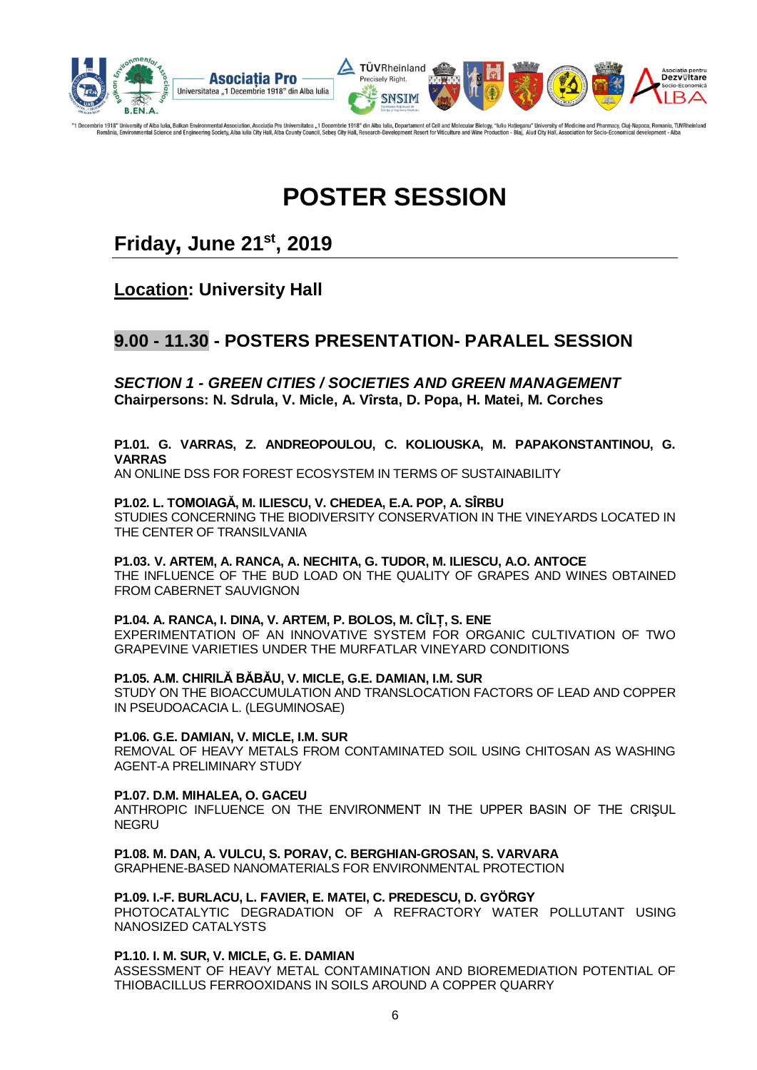

196cembrie 1918" University of Alba Iulia, Balkan Environmental Association, Asociatia Pro Universitatea "1 Decembrie 1918" din Alba Iulia, Departament of Cell and Molecular Biology, "Iuliu Hatjeganu" University of Medicin

## **POSTER SESSION**

### **Friday, June 21 st, 2019**

**Location: University Hall**

### **9.00 - 11.30 - POSTERS PRESENTATION- PARALEL SESSION**

*SECTION 1 - GREEN CITIES / SOCIETIES AND GREEN MANAGEMENT* **Chairpersons: N. Sdrula, V. Micle, A. Vîrsta, D. Popa, H. Matei, M. Corches**

#### **P1.01. G. VARRAS, Z. ANDREOPOULOU, C. KOLIOUSKA, M. PAPAKONSTANTINOU, G. VARRAS**

AN ONLINE DSS FOR FOREST ECOSYSTEM IN TERMS OF SUSTAINABILITY

#### **P1.02. L. TOMOIAGĂ, M. ILIESCU, V. CHEDEA, E.A. POP, A. SÎRBU**

STUDIES CONCERNING THE BIODIVERSITY CONSERVATION IN THE VINEYARDS LOCATED IN THE CENTER OF TRANSILVANIA

**P1.03. V. ARTEM, A. RANCA, A. NECHITA, G. TUDOR, M. ILIESCU, A.O. ANTOCE** THE INFLUENCE OF THE BUD LOAD ON THE QUALITY OF GRAPES AND WINES OBTAINED FROM CABERNET SAUVIGNON

#### **P1.04. A. RANCA, I. DINA, V. ARTEM, P. BOLOS, M. CÎLȚ, S. ENE**

EXPERIMENTATION OF AN INNOVATIVE SYSTEM FOR ORGANIC CULTIVATION OF TWO GRAPEVINE VARIETIES UNDER THE MURFATLAR VINEYARD CONDITIONS

#### **P1.05. A.M. CHIRILĂ BĂBĂU, V. MICLE, G.E. DAMIAN, I.M. SUR**

STUDY ON THE BIOACCUMULATION AND TRANSLOCATION FACTORS OF LEAD AND COPPER IN PSEUDOACACIA L. (LEGUMINOSAE)

#### **P1.06. G.E. DAMIAN, V. MICLE, I.M. SUR**

REMOVAL OF HEAVY METALS FROM CONTAMINATED SOIL USING CHITOSAN AS WASHING AGENT-A PRELIMINARY STUDY

#### **P1.07. D.M. MIHALEA, O. GACEU**

ANTHROPIC INFLUENCE ON THE ENVIRONMENT IN THE UPPER BASIN OF THE CRIŞUL **NEGRU** 

**P1.08. M. DAN, A. VULCU, S. PORAV, C. BERGHIAN-GROSAN, S. VARVARA**

GRAPHENE-BASED NANOMATERIALS FOR ENVIRONMENTAL PROTECTION

#### **P1.09. I.-F. BURLACU, L. FAVIER, E. MATEI, C. PREDESCU, D. GYÖRGY**

PHOTOCATALYTIC DEGRADATION OF A REFRACTORY WATER POLLUTANT USING NANOSIZED CATALYSTS

#### **P1.10. I. M. SUR, V. MICLE, G. E. DAMIAN**

ASSESSMENT OF HEAVY METAL CONTAMINATION AND BIOREMEDIATION POTENTIAL OF THIOBACILLUS FERROOXIDANS IN SOILS AROUND A COPPER QUARRY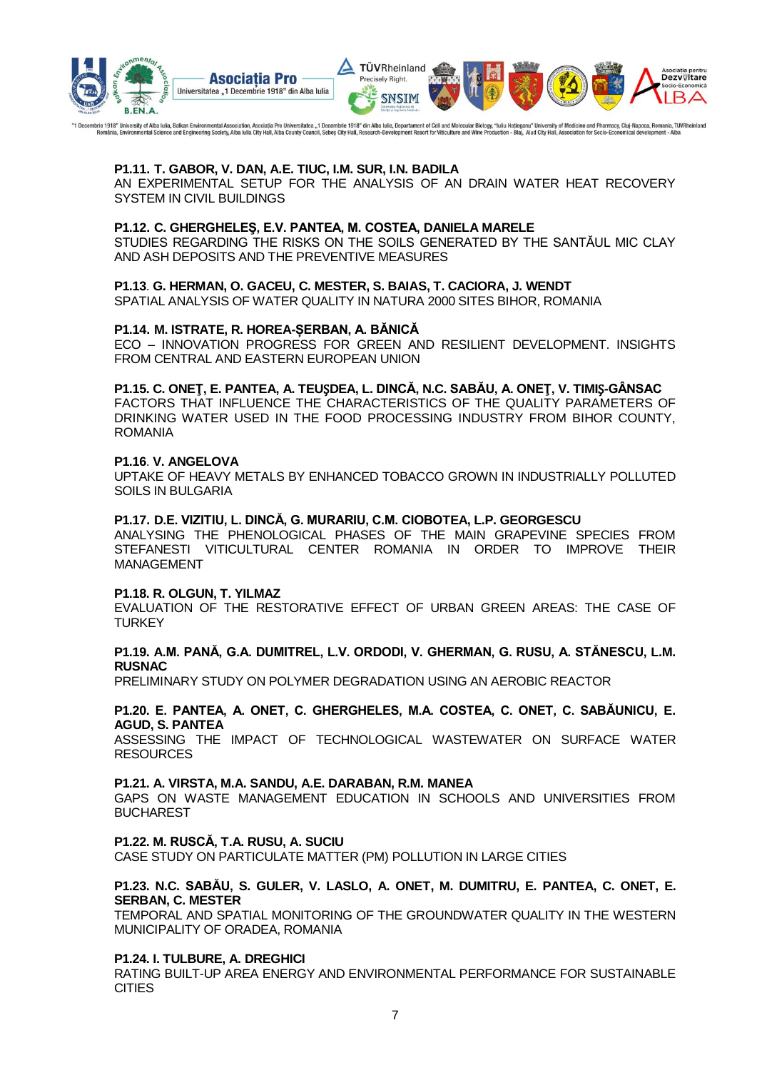

"1 Decembrie 1918" University of Alba Iulia, Balkan Environmental Association, Asociatia Pro Universitatea "1 Decembrie 1918" din Alba Iulia, Departament of Cell and Molecular Biology, "Iuliu Hatjeganu" University of Medic

#### **P1.11. T. GABOR, V. DAN, A.E. TIUC, I.M. SUR, I.N. BADILA**

AN EXPERIMENTAL SETUP FOR THE ANALYSIS OF AN DRAIN WATER HEAT RECOVERY SYSTEM IN CIVIL BUILDINGS

#### **P1.12. C. GHERGHELEŞ, E.V. PANTEA, M. COSTEA, DANIELA MARELE**

STUDIES REGARDING THE RISKS ON THE SOILS GENERATED BY THE SANTĂUL MIC CLAY AND ASH DEPOSITS AND THE PREVENTIVE MEASURES

#### **P1.13**. **G. HERMAN, O. GACEU, C. MESTER, S. BAIAS, T. CACIORA, J. WENDT**

SPATIAL ANALYSIS OF WATER QUALITY IN NATURA 2000 SITES BIHOR, ROMANIA

#### **P1.14. M. ISTRATE, R. HOREA-ȘERBAN, A. BĂNICĂ**

ECO – INNOVATION PROGRESS FOR GREEN AND RESILIENT DEVELOPMENT. INSIGHTS FROM CENTRAL AND EASTERN EUROPEAN UNION

#### **P1.15. C. ONEŢ, E. PANTEA, A. TEU**Ș**DEA, L. DINCĂ, N.C. SABĂU, A. ONEŢ, V. TIMI**Ş**-GÂNSAC**

FACTORS THAT INFLUENCE THE CHARACTERISTICS OF THE QUALITY PARAMETERS OF DRINKING WATER USED IN THE FOOD PROCESSING INDUSTRY FROM BIHOR COUNTY, ROMANIA

#### **P1.16**. **V. ANGELOVA**

UPTAKE OF HEAVY METALS BY ENHANCED TOBACCO GROWN IN INDUSTRIALLY POLLUTED SOILS IN BULGARIA

#### **P1.17. D.E. VIZITIU, L. DINCĂ, G. MURARIU, C.M. CIOBOTEA, L.P. GEORGESCU**

ANALYSING THE PHENOLOGICAL PHASES OF THE MAIN GRAPEVINE SPECIES FROM STEFANESTI VITICULTURAL CENTER ROMANIA IN ORDER TO IMPROVE THEIR MANAGEMENT

#### **P1.18. R. OLGUN, T. YILMAZ**

EVALUATION OF THE RESTORATIVE EFFECT OF URBAN GREEN AREAS: THE CASE OF **TURKEY** 

#### **P1.19. A.M. PANĂ, G.A. DUMITREL, L.V. ORDODI, V. GHERMAN, G. RUSU, A. STĂNESCU, L.M. RUSNAC**

PRELIMINARY STUDY ON POLYMER DEGRADATION USING AN AEROBIC REACTOR

#### **P1.20. E. PANTEA, A. ONET, C. GHERGHELES, M.A. COSTEA, C. ONET, C. SABĂUNICU, E. AGUD, S. PANTEA**

ASSESSING THE IMPACT OF TECHNOLOGICAL WASTEWATER ON SURFACE WATER **RESOURCES** 

#### **P1.21. A. VIRSTA, M.A. SANDU, A.E. DARABAN, R.M. MANEA**

GAPS ON WASTE MANAGEMENT EDUCATION IN SCHOOLS AND UNIVERSITIES FROM BUCHAREST

#### **P1.22. M. RUSCĂ, T.A. RUSU, A. SUCIU**

CASE STUDY ON PARTICULATE MATTER (PM) POLLUTION IN LARGE CITIES

#### **P1.23. N.C. SABĂU, S. GULER, V. LASLO, A. ONET, M. DUMITRU, E. PANTEA, C. ONET, E. SERBAN, C. MESTER**

TEMPORAL AND SPATIAL MONITORING OF THE GROUNDWATER QUALITY IN THE WESTERN MUNICIPALITY OF ORADEA, ROMANIA

#### **P1.24. I. TULBURE, A. DREGHICI**

RATING BUILT-UP AREA ENERGY AND ENVIRONMENTAL PERFORMANCE FOR SUSTAINABLE **CITIES**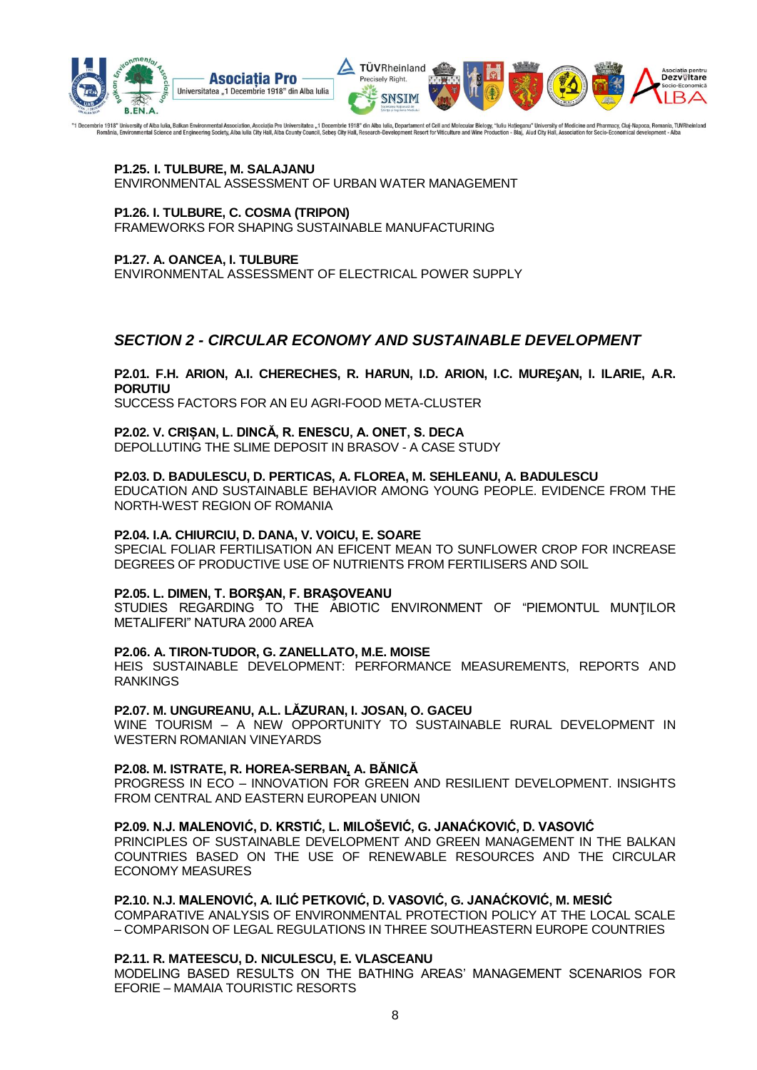

"1 Decembrie 1918" University of Alba lulia, Balkan Environmental Association, Asociatia Pro Universitatea "1 Decembrie 1918" din Alba lulia, Departament of Cell and Molecular Biology, "Iuliu Hatjeganu" University of Medic

#### **P1.25. I. TULBURE, M. SALAJANU**  ENVIRONMENTAL ASSESSMENT OF URBAN WATER MANAGEMENT

#### **P1.26. I. TULBURE, C. COSMA (TRIPON)**

FRAMEWORKS FOR SHAPING SUSTAINABLE MANUFACTURING

#### **P1.27. A. OANCEA, I. TULBURE**

ENVIRONMENTAL ASSESSMENT OF ELECTRICAL POWER SUPPLY

#### *SECTION 2 - CIRCULAR ECONOMY AND SUSTAINABLE DEVELOPMENT*

#### **P2.01. F.H. ARION, A.I. CHERECHES, R. HARUN, I.D. ARION, I.C. MURE**Ș**AN, I. ILARIE, A.R. PORUTIU**

SUCCESS FACTORS FOR AN EU AGRI-FOOD META-CLUSTER

#### **P2.02. V. CRIȘAN, L. DINCĂ, R. ENESCU, A. ONET, S. DECA**

DEPOLLUTING THE SLIME DEPOSIT IN BRASOV - A CASE STUDY

#### **P2.03. D. BADULESCU, D. PERTICAS, A. FLOREA, M. SEHLEANU, A. BADULESCU**

EDUCATION AND SUSTAINABLE BEHAVIOR AMONG YOUNG PEOPLE. EVIDENCE FROM THE NORTH-WEST REGION OF ROMANIA

#### **P2.04. I.A. CHIURCIU, D. DANA, V. VOICU, E. SOARE**

SPECIAL FOLIAR FERTILISATION AN EFICENT MEAN TO SUNFLOWER CROP FOR INCREASE DEGREES OF PRODUCTIVE USE OF NUTRIENTS FROM FERTILISERS AND SOIL

#### **P2.05. L. DIMEN, T. BORŞAN, F. BRAŞOVEANU**

STUDIES REGARDING TO THE ABIOTIC ENVIRONMENT OF "PIEMONTUL MUNTILOR METALIFERI" NATURA 2000 AREA

#### **P2.06. A. TIRON-TUDOR, G. ZANELLATO, M.E. MOISE**

HEIS SUSTAINABLE DEVELOPMENT: PERFORMANCE MEASUREMENTS, REPORTS AND RANKINGS

#### **P2.07. M. UNGUREANU, A.L. LĂZURAN, I. JOSAN, O. GACEU**

WINE TOURISM – A NEW OPPORTUNITY TO SUSTAINABLE RURAL DEVELOPMENT IN WESTERN ROMANIAN VINEYARDS

#### **P2.08. M. ISTRATE, R. HOREA-SERBAN, A. BĂNICĂ**

PROGRESS IN ECO – INNOVATION FOR GREEN AND RESILIENT DEVELOPMENT. INSIGHTS FROM CENTRAL AND EASTERN EUROPEAN UNION

#### **P2.09. N.J. MALENOVIĆ, D. KRSTIĆ, L. MILOŠEVIĆ, G. JANAĆKOVIĆ, D. VASOVIĆ**

PRINCIPLES OF SUSTAINABLE DEVELOPMENT AND GREEN MANAGEMENT IN THE BALKAN COUNTRIES BASED ON THE USE OF RENEWABLE RESOURCES AND THE CIRCULAR ECONOMY MEASURES

#### **P2.10. N.J. MALENOVIĆ, A. ILIĆ PETKOVIĆ, D. VASOVIĆ, G. JANAĆKOVIĆ, M. MESIĆ**

COMPARATIVE ANALYSIS OF ENVIRONMENTAL PROTECTION POLICY AT THE LOCAL SCALE – COMPARISON OF LEGAL REGULATIONS IN THREE SOUTHEASTERN EUROPE COUNTRIES

#### **P2.11. R. MATEESCU, D. NICULESCU, E. VLASCEANU**

MODELING BASED RESULTS ON THE BATHING AREAS' MANAGEMENT SCENARIOS FOR EFORIE – MAMAIA TOURISTIC RESORTS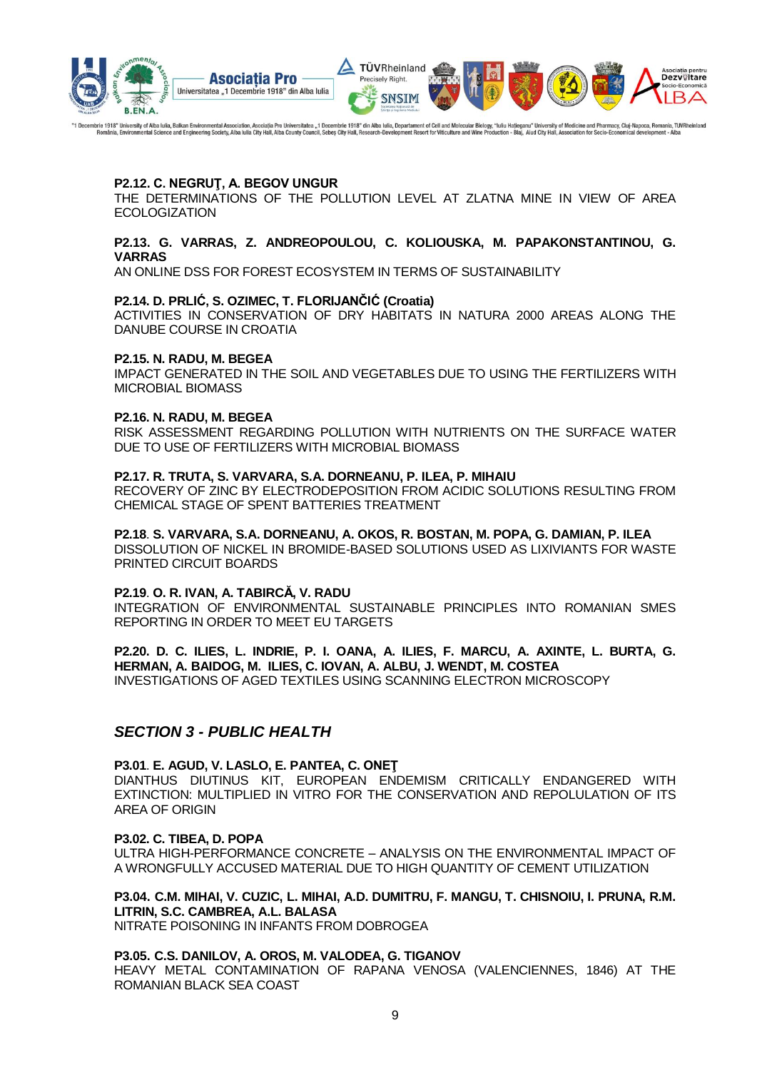

"1 Decembrie 1918" University of Alba lulia, Balkan Environmental Association, Asociatia Pro Universitatea "1 Decembrie 1918" din Alba lulia, Departament of Cell and Molecular Biology, "Iuliu Hatjeganu" University of Medic

#### **P2.12. C. NEGRUŢ, A. BEGOV UNGUR**

THE DETERMINATIONS OF THE POLLUTION LEVEL AT ZLATNA MINE IN VIEW OF AREA ECOLOGIZATION

#### **P2.13. G. VARRAS, Z. ANDREOPOULOU, C. KOLIOUSKA, M. PAPAKONSTANTINOU, G. VARRAS**

AN ONLINE DSS FOR FOREST ECOSYSTEM IN TERMS OF SUSTAINABILITY

#### **P2.14. D. PRLIĆ, S. OZIMEC, T. FLORIJANČIĆ (Croatia)**

ACTIVITIES IN CONSERVATION OF DRY HABITATS IN NATURA 2000 AREAS ALONG THE DANUBE COURSE IN CROATIA

#### **P2.15. N. RADU, M. BEGEA**

IMPACT GENERATED IN THE SOIL AND VEGETABLES DUE TO USING THE FERTILIZERS WITH MICROBIAL BIOMASS

#### **P2.16. N. RADU, M. BEGEA**

RISK ASSESSMENT REGARDING POLLUTION WITH NUTRIENTS ON THE SURFACE WATER DUE TO USE OF FERTILIZERS WITH MICROBIAL BIOMASS

#### **P2.17. R. TRUTA, S. VARVARA, S.A. DORNEANU, P. ILEA, P. MIHAIU**

RECOVERY OF ZINC BY ELECTRODEPOSITION FROM ACIDIC SOLUTIONS RESULTING FROM CHEMICAL STAGE OF SPENT BATTERIES TREATMENT

#### **P2.18**. **S. VARVARA, S.A. DORNEANU, A. OKOS, R. BOSTAN, M. POPA, G. DAMIAN, P. ILEA**

DISSOLUTION OF NICKEL IN BROMIDE-BASED SOLUTIONS USED AS LIXIVIANTS FOR WASTE PRINTED CIRCUIT BOARDS

#### **P2.19**. **O. R. IVAN, A. TABIRCĂ, V. RADU**

INTEGRATION OF ENVIRONMENTAL SUSTAINABLE PRINCIPLES INTO ROMANIAN SMES REPORTING IN ORDER TO MEET EU TARGETS

#### **P2.20. D. C. ILIES, L. INDRIE, P. I. OANA, A. ILIES, F. MARCU, A. AXINTE, L. BURTA, G. HERMAN, A. BAIDOG, M. ILIES, C. IOVAN, A. ALBU, J. WENDT, M. COSTEA**

INVESTIGATIONS OF AGED TEXTILES USING SCANNING ELECTRON MICROSCOPY

#### *SECTION 3 - PUBLIC HEALTH*

#### **P3.01**. **E. AGUD, V. LASLO, E. PANTEA, C. ONEŢ**

DIANTHUS DIUTINUS KIT, EUROPEAN ENDEMISM CRITICALLY ENDANGERED WITH EXTINCTION: MULTIPLIED IN VITRO FOR THE CONSERVATION AND REPOLULATION OF ITS AREA OF ORIGIN

#### **P3.02. C. TIBEA, D. POPA**

ULTRA HIGH-PERFORMANCE CONCRETE – ANALYSIS ON THE ENVIRONMENTAL IMPACT OF A WRONGFULLY ACCUSED MATERIAL DUE TO HIGH QUANTITY OF CEMENT UTILIZATION

#### **P3.04. C.M. MIHAI, V. CUZIC, L. MIHAI, A.D. DUMITRU, F. MANGU, T. CHISNOIU, I. PRUNA, R.M. LITRIN, S.C. CAMBREA, A.L. BALASA**

NITRATE POISONING IN INFANTS FROM DOBROGEA

#### **P3.05. C.S. DANILOV, A. OROS, M. VALODEA, G. TIGANOV**

HEAVY METAL CONTAMINATION OF RAPANA VENOSA (VALENCIENNES, 1846) AT THE ROMANIAN BLACK SEA COAST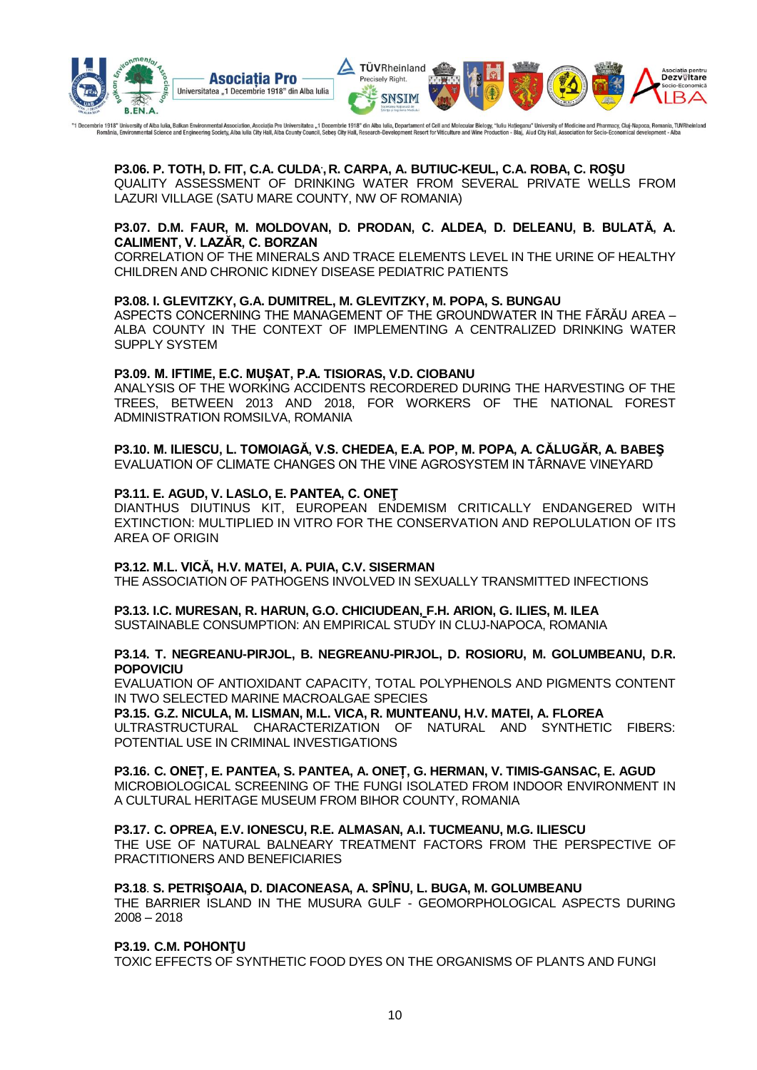

"1 Decembrie 1918" University of Alba Iulia, Balkan Environmental Association, Asociation, Asociatia Pro Universitatea "1 Decembrie 1918" din Alba Iulia, Departament of Cell and Molecular Biology, "Iuliu Hatjeganu" Univers

**P3.06. P. TOTH, D. FIT, C.A. CULDA. , R. CARPA, A. BUTIUC-KEUL, C.A. ROBA, C. ROŞU** QUALITY ASSESSMENT OF DRINKING WATER FROM SEVERAL PRIVATE WELLS FROM LAZURI VILLAGE (SATU MARE COUNTY, NW OF ROMANIA)

#### **P3.07. D.M. FAUR, M. MOLDOVAN, D. PRODAN, C. ALDEA, D. DELEANU, B. BULATĂ, A. CALIMENT, V. LAZĂR, C. BORZAN**

CORRELATION OF THE MINERALS AND TRACE ELEMENTS LEVEL IN THE URINE OF HEALTHY CHILDREN AND CHRONIC KIDNEY DISEASE PEDIATRIC PATIENTS

#### **P3.08. I. GLEVITZKY, G.A. DUMITREL, M. GLEVITZKY, M. POPA, S. BUNGAU**

ASPECTS CONCERNING THE MANAGEMENT OF THE GROUNDWATER IN THE FĂRĂU AREA – ALBA COUNTY IN THE CONTEXT OF IMPLEMENTING A CENTRALIZED DRINKING WATER SUPPLY SYSTEM

#### **P3.09. M. IFTIME, E.C. MUȘAT, P.A. TISIORAS, V.D. CIOBANU**

ANALYSIS OF THE WORKING ACCIDENTS RECORDERED DURING THE HARVESTING OF THE TREES, BETWEEN 2013 AND 2018, FOR WORKERS OF THE NATIONAL FOREST ADMINISTRATION ROMSILVA, ROMANIA

#### **P3.10. M. ILIESCU, L. TOMOIAGĂ, V.S. CHEDEA, E.A. POP, M. POPA, A. CĂLUGĂR, A. BABEŞ**

EVALUATION OF CLIMATE CHANGES ON THE VINE AGROSYSTEM IN TÂRNAVE VINEYARD

#### **P3.11. E. AGUD, V. LASLO, E. PANTEA, C. ONEŢ**

DIANTHUS DIUTINUS KIT, EUROPEAN ENDEMISM CRITICALLY ENDANGERED WITH EXTINCTION: MULTIPLIED IN VITRO FOR THE CONSERVATION AND REPOLULATION OF ITS AREA OF ORIGIN

#### **P3.12. M.L. VICĂ, H.V. MATEI, A. PUIA, C.V. SISERMAN**

THE ASSOCIATION OF PATHOGENS INVOLVED IN SEXUALLY TRANSMITTED INFECTIONS

#### **P3.13. I.C. MURESAN, R. HARUN, G.O. CHICIUDEAN, F.H. ARION, G. ILIES, M. ILEA**

SUSTAINABLE CONSUMPTION: AN EMPIRICAL STUDY IN CLUJ-NAPOCA, ROMANIA

#### **P3.14. T. NEGREANU-PIRJOL, B. NEGREANU-PIRJOL, D. ROSIORU, M. GOLUMBEANU, D.R. POPOVICIU**

EVALUATION OF ANTIOXIDANT CAPACITY, TOTAL POLYPHENOLS AND PIGMENTS CONTENT IN TWO SELECTED MARINE MACROALGAE SPECIES

#### **P3.15. G.Z. NICULA, M. LISMAN, M.L. VICA, R. MUNTEANU, H.V. MATEI, A. FLOREA**

ULTRASTRUCTURAL CHARACTERIZATION OF NATURAL AND SYNTHETIC FIBERS: POTENTIAL USE IN CRIMINAL INVESTIGATIONS

#### **P3.16. C. ONEȚ, E. PANTEA, S. PANTEA, A. ONEȚ, G. HERMAN, V. TIMIS-GANSAC, E. AGUD**

MICROBIOLOGICAL SCREENING OF THE FUNGI ISOLATED FROM INDOOR ENVIRONMENT IN A CULTURAL HERITAGE MUSEUM FROM BIHOR COUNTY, ROMANIA

#### **P3.17. C. OPREA, E.V. IONESCU, R.E. ALMASAN, A.I. TUCMEANU, M.G. ILIESCU**

THE USE OF NATURAL BALNEARY TREATMENT FACTORS FROM THE PERSPECTIVE OF PRACTITIONERS AND BENEFICIARIES

#### **P3.18**. **S. PETRIŞOAIA, D. DIACONEASA, A. SPÎNU, L. BUGA, M. GOLUMBEANU**

THE BARRIER ISLAND IN THE MUSURA GULF - GEOMORPHOLOGICAL ASPECTS DURING 2008 – 2018

#### **P3.19. C.M. POHONŢU**

TOXIC EFFECTS OF SYNTHETIC FOOD DYES ON THE ORGANISMS OF PLANTS AND FUNGI